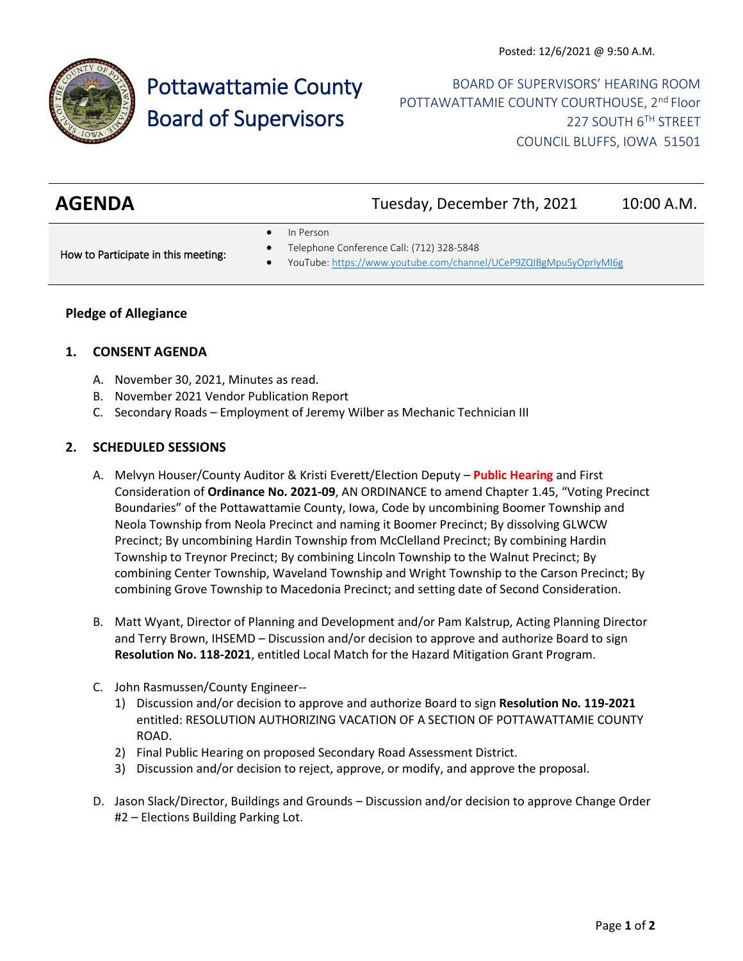

# Pottawattamie County Board of Supervisors

BOARD OF SUPERVISORS' HEARING ROOM POTTAWATTAMIE COUNTY COURTHOUSE, 2<sup>nd</sup> Floor 227 SOUTH 6TH STREET COUNCIL BLUFFS, IOWA 51501

| <b>AGENDA</b> | Tuesday, December 7th, 2021 | 10:00 A.M. |
|---------------|-----------------------------|------------|
|               |                             |            |

In Person

How to Participate in this meeting:

- Telephone Conference Call: (712) 328-5848
- YouTube[: https://www.youtube.com/channel/UCeP9ZQIBgMpuSyOprlyMl6g](https://www.youtube.com/channel/UCeP9ZQIBgMpuSyOprlyMl6g)

## **Pledge of Allegiance**

#### **1. CONSENT AGENDA**

- A. November 30, 2021, Minutes as read.
- B. November 2021 Vendor Publication Report
- C. Secondary Roads Employment of Jeremy Wilber as Mechanic Technician III

## **2. SCHEDULED SESSIONS**

- A. Melvyn Houser/County Auditor & Kristi Everett/Election Deputy **Public Hearing** and First Consideration of **Ordinance No. 2021-09**, AN ORDINANCE to amend Chapter 1.45, "Voting Precinct Boundaries" of the Pottawattamie County, Iowa, Code by uncombining Boomer Township and Neola Township from Neola Precinct and naming it Boomer Precinct; By dissolving GLWCW Precinct; By uncombining Hardin Township from McClelland Precinct; By combining Hardin Township to Treynor Precinct; By combining Lincoln Township to the Walnut Precinct; By combining Center Township, Waveland Township and Wright Township to the Carson Precinct; By combining Grove Township to Macedonia Precinct; and setting date of Second Consideration.
- B. Matt Wyant, Director of Planning and Development and/or Pam Kalstrup, Acting Planning Director and Terry Brown, IHSEMD – Discussion and/or decision to approve and authorize Board to sign **Resolution No. 118-2021**, entitled Local Match for the Hazard Mitigation Grant Program.
- C. John Rasmussen/County Engineer--
	- 1) Discussion and/or decision to approve and authorize Board to sign **Resolution No. 119-2021** entitled: RESOLUTION AUTHORIZING VACATION OF A SECTION OF POTTAWATTAMIE COUNTY ROAD.
	- 2) Final Public Hearing on proposed Secondary Road Assessment District.
	- 3) Discussion and/or decision to reject, approve, or modify, and approve the proposal.
- D. Jason Slack/Director, Buildings and Grounds Discussion and/or decision to approve Change Order #2 – Elections Building Parking Lot.